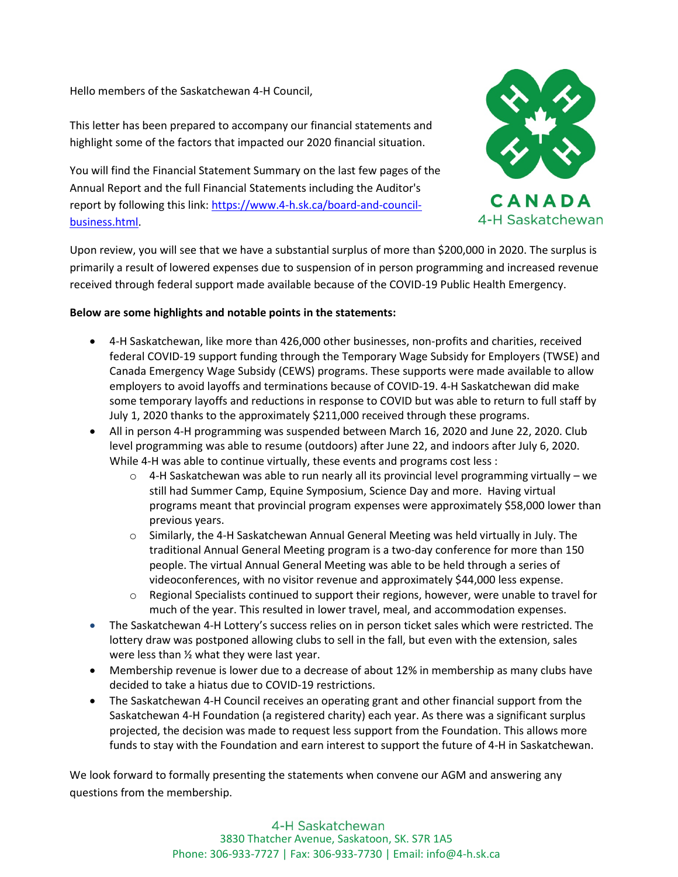Hello members of the Saskatchewan 4-H Council,

This letter has been prepared to accompany our financial statements and highlight some of the factors that impacted our 2020 financial situation.

You will find the Financial Statement Summary on the last few pages of the Annual Report and the full Financial Statements including the Auditor's report by following this link: [https://www.4-h.sk.ca/board-and-council](https://www.4-h.sk.ca/board-and-council-business.html)[business.html.](https://www.4-h.sk.ca/board-and-council-business.html)



CANADA 4-H Saskatchewan

Upon review, you will see that we have a substantial surplus of more than \$200,000 in 2020. The surplus is primarily a result of lowered expenses due to suspension of in person programming and increased revenue received through federal support made available because of the COVID-19 Public Health Emergency.

## **Below are some highlights and notable points in the statements:**

- 4-H Saskatchewan, like more than 426,000 other businesses, non-profits and charities, received federal COVID-19 support funding through the Temporary Wage Subsidy for Employers (TWSE) and Canada Emergency Wage Subsidy (CEWS) programs. These supports were made available to allow employers to avoid layoffs and terminations because of COVID-19. 4-H Saskatchewan did make some temporary layoffs and reductions in response to COVID but was able to return to full staff by July 1, 2020 thanks to the approximately \$211,000 received through these programs.
- All in person 4-H programming was suspended between March 16, 2020 and June 22, 2020. Club level programming was able to resume (outdoors) after June 22, and indoors after July 6, 2020. While 4-H was able to continue virtually, these events and programs cost less :
	- $\circ$  4-H Saskatchewan was able to run nearly all its provincial level programming virtually we still had Summer Camp, Equine Symposium, Science Day and more. Having virtual programs meant that provincial program expenses were approximately \$58,000 lower than previous years.
	- o Similarly, the 4-H Saskatchewan Annual General Meeting was held virtually in July. The traditional Annual General Meeting program is a two-day conference for more than 150 people. The virtual Annual General Meeting was able to be held through a series of videoconferences, with no visitor revenue and approximately \$44,000 less expense.
	- $\circ$  Regional Specialists continued to support their regions, however, were unable to travel for much of the year. This resulted in lower travel, meal, and accommodation expenses.
- The Saskatchewan 4-H Lottery's success relies on in person ticket sales which were restricted. The lottery draw was postponed allowing clubs to sell in the fall, but even with the extension, sales were less than ½ what they were last year.
- Membership revenue is lower due to a decrease of about 12% in membership as many clubs have decided to take a hiatus due to COVID-19 restrictions.
- The Saskatchewan 4-H Council receives an operating grant and other financial support from the Saskatchewan 4-H Foundation (a registered charity) each year. As there was a significant surplus projected, the decision was made to request less support from the Foundation. This allows more funds to stay with the Foundation and earn interest to support the future of 4-H in Saskatchewan.

We look forward to formally presenting the statements when convene our AGM and answering any questions from the membership.